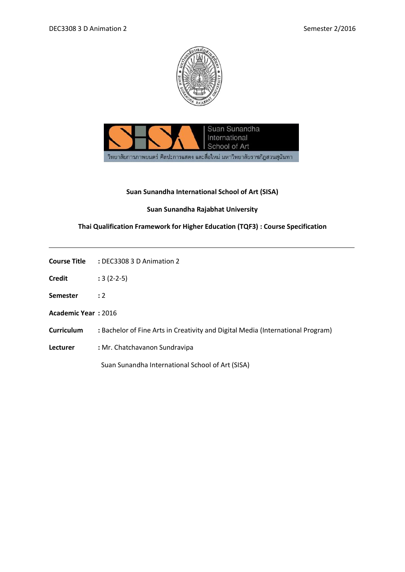



## **Suan Sunandha International School of Art (SISA)**

## **Suan Sunandha Rajabhat University**

## **Thai Qualification Framework for Higher Education (TQF3) : Course Specification**

| <b>Course Title</b> | : DEC3308 3 D Animation 2 |
|---------------------|---------------------------|
|                     |                           |

- **Credit :** 3 (2-2-5)
- **Semester :** 2
- **Academic Year :** 2016
- **Curriculum :** Bachelor of Fine Arts in Creativity and Digital Media (International Program)
- **Lecturer :** Mr. Chatchavanon Sundravipa

Suan Sunandha International School of Art (SISA)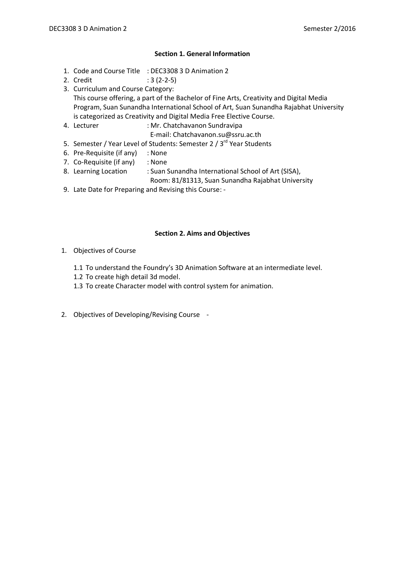## **Section 1. General Information**

- 1. Code and Course Title : DEC3308 3 D Animation 2
- 2. Credit : 3 (2-2-5)
- 3. Curriculum and Course Category: This course offering, a part of the Bachelor of Fine Arts, Creativity and Digital Media Program, Suan Sunandha International School of Art, Suan Sunandha Rajabhat University is categorized as Creativity and Digital Media Free Elective Course.
- 4. Lecturer : Mr. Chatchavanon Sundravipa
	- E-mail: Chatchavanon.su@ssru.ac.th
- 5. Semester / Year Level of Students: Semester 2 / 3<sup>rd</sup> Year Students
- 6. Pre-Requisite (if any) : None
- 7. Co-Requisite (if any) : None
- 8. Learning Location : Suan Sunandha International School of Art (SISA),
	- Room: 81/81313, Suan Sunandha Rajabhat University
- 9. Late Date for Preparing and Revising this Course: -

## **Section 2. Aims and Objectives**

- 1. Objectives of Course
	- 1.1 To understand the Foundry's 3D Animation Software at an intermediate level.
	- 1.2 To create high detail 3d model.
	- 1.3 To create Character model with control system for animation.
- 2. Objectives of Developing/Revising Course -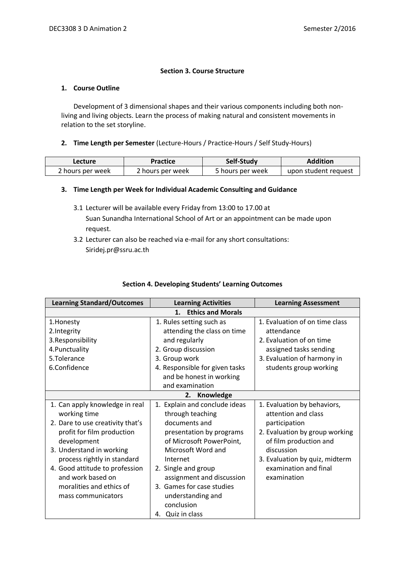## **Section 3. Course Structure**

#### **1. Course Outline**

Development of 3 dimensional shapes and their various components including both nonliving and living objects. Learn the process of making natural and consistent movements in relation to the set storyline.

#### **2. Time Length per Semester** (Lecture-Hours / Practice-Hours / Self Study-Hours)

| Lecture          | Practice         | Self-Study       | <b>Addition</b>      |
|------------------|------------------|------------------|----------------------|
| 2 hours per week | 2 hours per week | 5 hours per week | upon student request |

## **3. Time Length per Week for Individual Academic Consulting and Guidance**

- 3.1 Lecturer will be available every Friday from 13:00 to 17.00 at Suan Sunandha International School of Art or an appointment can be made upon request.
- 3.2 Lecturer can also be reached via e-mail for any short consultations: Siridej.pr@ssru.ac.th

## **Section 4. Developing Students' Learning Outcomes**

| <b>Learning Standard/Outcomes</b> | <b>Learning Activities</b>     | <b>Learning Assessment</b>     |  |  |
|-----------------------------------|--------------------------------|--------------------------------|--|--|
| <b>Ethics and Morals</b><br>1.    |                                |                                |  |  |
| 1. Honesty                        | 1. Rules setting such as       | 1. Evaluation of on time class |  |  |
| 2.Integrity                       | attending the class on time    | attendance                     |  |  |
| 3.Responsibility                  | and regularly                  | 2. Evaluation of on time       |  |  |
| 4. Punctuality                    | 2. Group discussion            | assigned tasks sending         |  |  |
| 5.Tolerance                       | 3. Group work                  | 3. Evaluation of harmony in    |  |  |
| 6.Confidence                      | 4. Responsible for given tasks | students group working         |  |  |
|                                   | and be honest in working       |                                |  |  |
|                                   | and examination                |                                |  |  |
|                                   | Knowledge<br>2.                |                                |  |  |
| 1. Can apply knowledge in real    | 1. Explain and conclude ideas  | 1. Evaluation by behaviors,    |  |  |
| working time                      | through teaching               | attention and class            |  |  |
| 2. Dare to use creativity that's  | documents and                  | participation                  |  |  |
| profit for film production        | presentation by programs       | 2. Evaluation by group working |  |  |
| development                       | of Microsoft PowerPoint,       | of film production and         |  |  |
| 3. Understand in working          | Microsoft Word and             | discussion                     |  |  |
| process rightly in standard       | Internet                       | 3. Evaluation by quiz, midterm |  |  |
| 4. Good attitude to profession    | 2. Single and group            | examination and final          |  |  |
| and work based on                 | assignment and discussion      | examination                    |  |  |
| moralities and ethics of          | 3. Games for case studies      |                                |  |  |
| mass communicators                | understanding and              |                                |  |  |
|                                   | conclusion                     |                                |  |  |
|                                   | 4. Quiz in class               |                                |  |  |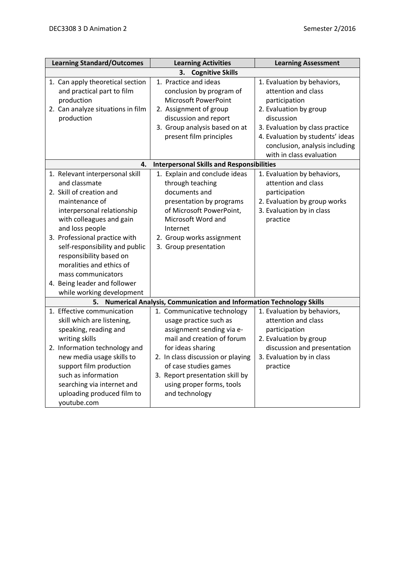| <b>Learning Standard/Outcomes</b>                                                                                                                                                                                                                                                                                                                                                        | <b>Learning Activities</b>                                                                                                                                                                                                                                                            | <b>Learning Assessment</b>                                                                                                                                                                                           |  |  |  |
|------------------------------------------------------------------------------------------------------------------------------------------------------------------------------------------------------------------------------------------------------------------------------------------------------------------------------------------------------------------------------------------|---------------------------------------------------------------------------------------------------------------------------------------------------------------------------------------------------------------------------------------------------------------------------------------|----------------------------------------------------------------------------------------------------------------------------------------------------------------------------------------------------------------------|--|--|--|
| <b>Cognitive Skills</b><br>З.                                                                                                                                                                                                                                                                                                                                                            |                                                                                                                                                                                                                                                                                       |                                                                                                                                                                                                                      |  |  |  |
| 1. Can apply theoretical section<br>and practical part to film<br>production<br>2. Can analyze situations in film<br>production                                                                                                                                                                                                                                                          | 1. Practice and ideas<br>conclusion by program of<br><b>Microsoft PowerPoint</b><br>2. Assignment of group<br>discussion and report<br>3. Group analysis based on at<br>present film principles                                                                                       | 1. Evaluation by behaviors,<br>attention and class<br>participation<br>2. Evaluation by group<br>discussion<br>3. Evaluation by class practice<br>4. Evaluation by students' ideas<br>conclusion, analysis including |  |  |  |
| 4.                                                                                                                                                                                                                                                                                                                                                                                       | <b>Interpersonal Skills and Responsibilities</b>                                                                                                                                                                                                                                      | with in class evaluation                                                                                                                                                                                             |  |  |  |
| 1. Relevant interpersonal skill<br>and classmate<br>2. Skill of creation and<br>maintenance of<br>interpersonal relationship<br>with colleagues and gain<br>and loss people<br>3. Professional practice with<br>self-responsibility and public<br>responsibility based on<br>moralities and ethics of<br>mass communicators<br>4. Being leader and follower<br>while working development | 1. Explain and conclude ideas<br>through teaching<br>documents and<br>presentation by programs<br>of Microsoft PowerPoint,<br>Microsoft Word and<br>Internet<br>2. Group works assignment<br>3. Group presentation                                                                    | 1. Evaluation by behaviors,<br>attention and class<br>participation<br>2. Evaluation by group works<br>3. Evaluation by in class<br>practice                                                                         |  |  |  |
| 5.                                                                                                                                                                                                                                                                                                                                                                                       | <b>Numerical Analysis, Communication and Information Technology Skills</b>                                                                                                                                                                                                            |                                                                                                                                                                                                                      |  |  |  |
| 1. Effective communication<br>skill which are listening,<br>speaking, reading and<br>writing skills<br>2. Information technology and<br>new media usage skills to<br>support film production<br>such as information<br>searching via internet and<br>uploading produced film to<br>youtube.com                                                                                           | 1. Communicative technology<br>usage practice such as<br>assignment sending via e-<br>mail and creation of forum<br>for ideas sharing<br>2. In class discussion or playing<br>of case studies games<br>3. Report presentation skill by<br>using proper forms, tools<br>and technology | 1. Evaluation by behaviors,<br>attention and class<br>participation<br>2. Evaluation by group<br>discussion and presentation<br>3. Evaluation by in class<br>practice                                                |  |  |  |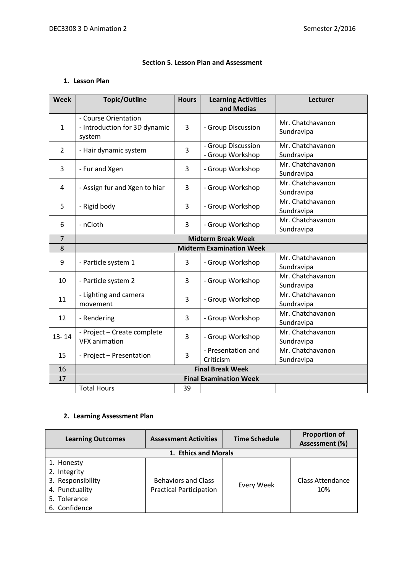## **Section 5. Lesson Plan and Assessment**

## **1. Lesson Plan**

| Week           | <b>Topic/Outline</b>          | <b>Hours</b> | <b>Learning Activities</b><br>and Medias | Lecturer         |
|----------------|-------------------------------|--------------|------------------------------------------|------------------|
|                |                               |              |                                          |                  |
|                | - Course Orientation          | 3            |                                          | Mr. Chatchavanon |
| $\mathbf{1}$   | - Introduction for 3D dynamic |              | - Group Discussion                       | Sundravipa       |
|                | system                        |              | - Group Discussion                       | Mr. Chatchavanon |
| $\overline{2}$ | - Hair dynamic system         | 3            | - Group Workshop                         | Sundravipa       |
|                |                               |              |                                          | Mr. Chatchavanon |
| 3              | - Fur and Xgen                | 3            | - Group Workshop                         | Sundravipa       |
|                |                               |              |                                          | Mr. Chatchavanon |
| 4              | - Assign fur and Xgen to hiar | 3            | - Group Workshop                         | Sundravipa       |
|                |                               |              |                                          | Mr. Chatchavanon |
| 5              | - Rigid body                  | 3            | - Group Workshop                         | Sundravipa       |
|                |                               |              |                                          | Mr. Chatchavanon |
| 6              | - nCloth                      | 3            | - Group Workshop                         | Sundravipa       |
| $\overline{7}$ |                               |              | <b>Midterm Break Week</b>                |                  |
| 8              |                               |              | <b>Midterm Examination Week</b>          |                  |
|                |                               | 3            |                                          | Mr. Chatchavanon |
| 9              | - Particle system 1           |              | - Group Workshop                         | Sundravipa       |
| 10             | - Particle system 2           | 3            | - Group Workshop                         | Mr. Chatchavanon |
|                |                               |              |                                          | Sundravipa       |
| 11             | - Lighting and camera         | 3            | - Group Workshop                         | Mr. Chatchavanon |
|                | movement                      |              |                                          | Sundravipa       |
| 12             | - Rendering                   | 3            | - Group Workshop                         | Mr. Chatchavanon |
|                |                               |              |                                          | Sundravipa       |
| $13 - 14$      | - Project - Create complete   | 3            | - Group Workshop                         | Mr. Chatchavanon |
|                | <b>VFX</b> animation          |              |                                          | Sundravipa       |
| 15             | - Project - Presentation      | 3            | - Presentation and                       | Mr. Chatchavanon |
|                |                               |              | Criticism                                | Sundravipa       |
| 16             | <b>Final Break Week</b>       |              |                                          |                  |
| 17             | <b>Final Examination Week</b> |              |                                          |                  |
|                | <b>Total Hours</b>            | 39           |                                          |                  |

# **2. Learning Assessment Plan**

| <b>Learning Outcomes</b> | <b>Assessment Activities</b>   | <b>Time Schedule</b> | <b>Proportion of</b><br>Assessment (%) |  |
|--------------------------|--------------------------------|----------------------|----------------------------------------|--|
| 1. Ethics and Morals     |                                |                      |                                        |  |
| 1. Honesty               |                                |                      |                                        |  |
| 2. Integrity             |                                |                      |                                        |  |
| 3. Responsibility        | <b>Behaviors and Class</b>     |                      | <b>Class Attendance</b>                |  |
| 4. Punctuality           | <b>Practical Participation</b> | Every Week           | 10%                                    |  |
| 5. Tolerance             |                                |                      |                                        |  |
| 6. Confidence            |                                |                      |                                        |  |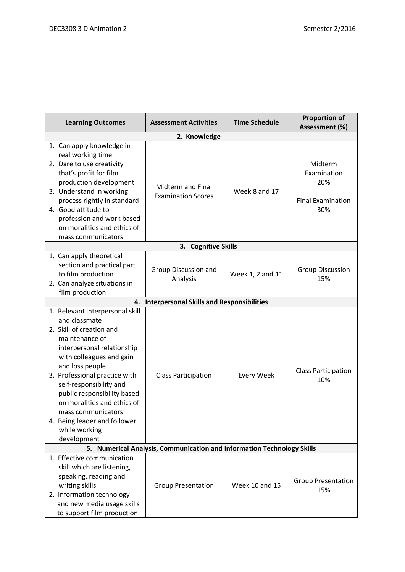| <b>Learning Outcomes</b>                                                                                                                                                                                                                                                                                                                                                                    | <b>Assessment Activities</b>                     | <b>Time Schedule</b>  | <b>Proportion of</b><br>Assessment (%)                           |  |
|---------------------------------------------------------------------------------------------------------------------------------------------------------------------------------------------------------------------------------------------------------------------------------------------------------------------------------------------------------------------------------------------|--------------------------------------------------|-----------------------|------------------------------------------------------------------|--|
| 2. Knowledge                                                                                                                                                                                                                                                                                                                                                                                |                                                  |                       |                                                                  |  |
| 1. Can apply knowledge in<br>real working time<br>2. Dare to use creativity<br>that's profit for film<br>production development<br>3. Understand in working<br>process rightly in standard<br>4. Good attitude to<br>profession and work based<br>on moralities and ethics of<br>mass communicators                                                                                         | Midterm and Final<br><b>Examination Scores</b>   | Week 8 and 17         | Midterm<br>Examination<br>20%<br><b>Final Examination</b><br>30% |  |
|                                                                                                                                                                                                                                                                                                                                                                                             | 3. Cognitive Skills                              |                       |                                                                  |  |
| 1. Can apply theoretical<br>section and practical part<br>to film production<br>2. Can analyze situations in<br>film production                                                                                                                                                                                                                                                             | Group Discussion and<br>Analysis                 | Week 1, 2 and 11      | <b>Group Discussion</b><br>15%                                   |  |
| 4.                                                                                                                                                                                                                                                                                                                                                                                          | <b>Interpersonal Skills and Responsibilities</b> |                       |                                                                  |  |
| 1. Relevant interpersonal skill<br>and classmate<br>2. Skill of creation and<br>maintenance of<br>interpersonal relationship<br>with colleagues and gain<br>and loss people<br>3. Professional practice with<br>self-responsibility and<br>public responsibility based<br>on moralities and ethics of<br>mass communicators<br>4. Being leader and follower<br>while working<br>development | <b>Class Participation</b>                       | <b>Every Week</b>     | <b>Class Participation</b><br>10%                                |  |
| <b>Numerical Analysis, Communication and Information Technology Skills</b><br>5.                                                                                                                                                                                                                                                                                                            |                                                  |                       |                                                                  |  |
| 1. Effective communication<br>skill which are listening,<br>speaking, reading and<br>writing skills<br>2. Information technology<br>and new media usage skills<br>to support film production                                                                                                                                                                                                | <b>Group Presentation</b>                        | <b>Week 10 and 15</b> | <b>Group Presentation</b><br>15%                                 |  |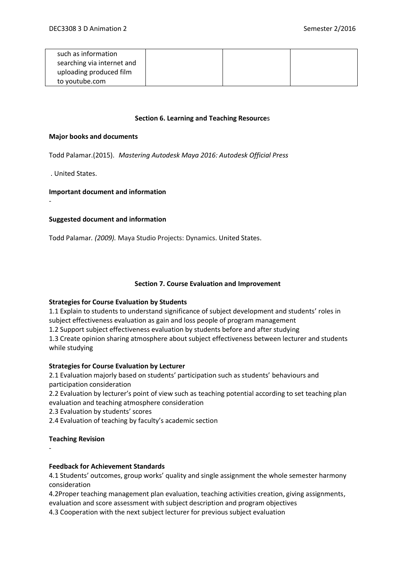| such as information        |  |  |
|----------------------------|--|--|
| searching via internet and |  |  |
| uploading produced film    |  |  |
| to youtube.com             |  |  |

#### **Section 6. Learning and Teaching Resource**s

#### **Major books and documents**

Todd Palamar.(2015). *Mastering Autodesk Maya 2016: Autodesk Official Press*

. United States.

-

## **Important document and information**

## **Suggested document and information**

Todd Palamar*. (2009).* Maya Studio Projects: Dynamics. United States.

#### **Section 7. Course Evaluation and Improvement**

## **Strategies for Course Evaluation by Students**

1.1 Explain to students to understand significance of subject development and students' roles in subject effectiveness evaluation as gain and loss people of program management

1.2 Support subject effectiveness evaluation by students before and after studying

1.3 Create opinion sharing atmosphere about subject effectiveness between lecturer and students while studying

## **Strategies for Course Evaluation by Lecturer**

2.1 Evaluation majorly based on students' participation such as students' behaviours and participation consideration

2.2 Evaluation by lecturer's point of view such as teaching potential according to set teaching plan evaluation and teaching atmosphere consideration

2.3 Evaluation by students' scores

2.4 Evaluation of teaching by faculty's academic section

## **Teaching Revision**

-

## **Feedback for Achievement Standards**

4.1 Students' outcomes, group works' quality and single assignment the whole semester harmony consideration

4.2Proper teaching management plan evaluation, teaching activities creation, giving assignments, evaluation and score assessment with subject description and program objectives

4.3 Cooperation with the next subject lecturer for previous subject evaluation